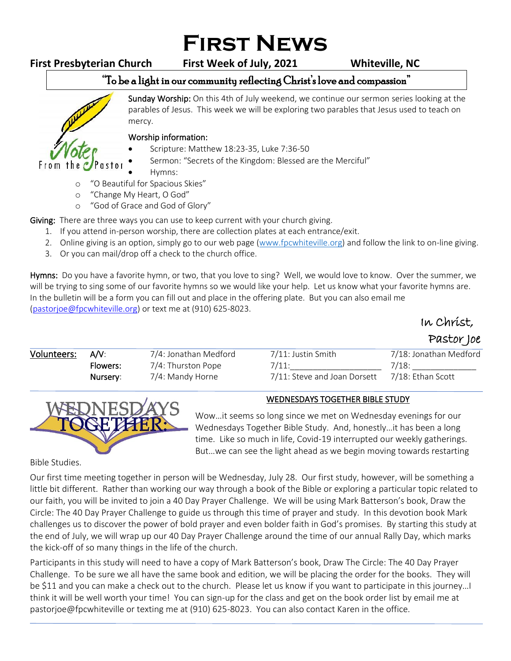# **First News**

# **First Presbyterian Church First Week of July, 2021 Whiteville, NC**

# "To be a light in our community reflecting Christ's love and compassion"

From the astor Sunday Worship: On this 4th of July weekend, we continue our sermon series looking at the parables of Jesus. This week we will be exploring two parables that Jesus used to teach on mercy. ֺ֝

### Worship information:

- Scripture: Matthew 18:23-35, Luke 7:36-50
- Sermon: "Secrets of the Kingdom: Blessed are the Merciful"
- Hymns:
- o "O Beautiful for Spacious Skies"
- o "Change My Heart, O God"
- o "God of Grace and God of Glory"

Giving: There are three ways you can use to keep current with your church giving.

- 1. If you attend in-person worship, there are collection plates at each entrance/exit.
- 2. Online giving is an option, simply go to our web page [\(www.fpcwhiteville.org](http://www.fpcwhiteville.ort/)) and follow the link to on-line giving.
- 3. Or you can mail/drop off a check to the church office.

Hymns: Do you have a favorite hymn, or two, that you love to sing? Well, we would love to know. Over the summer, we will be trying to sing some of our favorite hymns so we would like your help. Let us know what your favorite hymns are. In the bulletin will be a form you can fill out and place in the offering plate. But you can also email me [\(pastorjoe@fpcwhiteville.org\)](file:///C:/Users/Valued%20Customer/Desktop/pastorjoe@fpcwhiteville.org) or text me at (910) 625-8023.

In Christ,

Pastor Joe

| Volunteers: | A/V:     | 7/4: Jonathan Medford | 7/11: Justin Smith           | 7/18: Jonathan Medford |
|-------------|----------|-----------------------|------------------------------|------------------------|
|             | Flowers: | 7/4: Thurston Pope    | 7/11:                        | 7/18:                  |
|             | Nursery: | 7/4: Mandy Horne      | 7/11: Steve and Joan Dorsett | 7/18: Ethan Scott      |
|             |          |                       |                              |                        |



## WEDNESDAYS TOGETHER BIBLE STUDY

Wow…it seems so long since we met on Wednesday evenings for our Wednesdays Together Bible Study. And, honestly…it has been a long time. Like so much in life, Covid-19 interrupted our weekly gatherings. But…we can see the light ahead as we begin moving towards restarting

Bible Studies.

Our first time meeting together in person will be Wednesday, July 28. Our first study, however, will be something a little bit different. Rather than working our way through a book of the Bible or exploring a particular topic related to our faith, you will be invited to join a 40 Day Prayer Challenge. We will be using Mark Batterson's book, Draw the Circle: The 40 Day Prayer Challenge to guide us through this time of prayer and study. In this devotion book Mark challenges us to discover the power of bold prayer and even bolder faith in God's promises. By starting this study at the end of July, we will wrap up our 40 Day Prayer Challenge around the time of our annual Rally Day, which marks the kick-off of so many things in the life of the church.

Participants in this study will need to have a copy of Mark Batterson's book, Draw The Circle: The 40 Day Prayer Challenge. To be sure we all have the same book and edition, we will be placing the order for the books. They will be \$11 and you can make a check out to the church. Please let us know if you want to participate in this journey…I think it will be well worth your time! You can sign-up for the class and get on the book order list by email me at pastorjoe@fpcwhiteville or texting me at (910) 625-8023. You can also contact Karen in the office.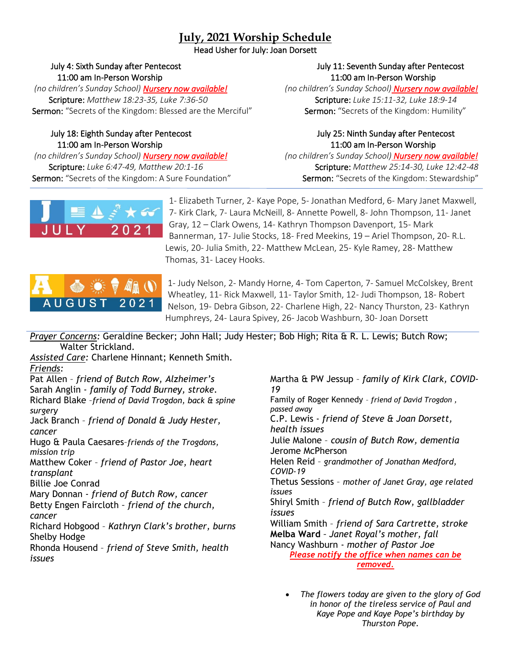# **July, 2021 Worship Schedule**

Head Usher for July: Joan Dorsett

 *(no children's Sunday School) Nursery now available! (no children's Sunday School) Nursery now available!* Scripture: *Matthew 18:23-35, Luke 7:36-50* Scripture: *Luke 15:11-32, Luke 18:9-14* Sermon: "Secrets of the Kingdom: Blessed are the Merciful" Sermon: "Secrets of the Kingdom: Humility"

### July 18: Eighth Sunday after Pentecost July 25: Ninth Sunday after Pentecost 11:00 am In-Person Worship 11:00 am In-Person Worship

 *(no children's Sunday School) Nursery now available! (no children's Sunday School) Nursery now available!* Sermon: "Secrets of the Kingdom: A Sure Foundation" Sermon: "Secrets of the Kingdom: Stewardship"

### July 4: Sixth Sunday after Pentecost July 11: Seventh Sunday after Pentecost 11:00 am In-Person Worship 11:00 am In-Person Worship

Scripture: *Luke 6:47-49, Matthew 20:1-16* Scripture: *Matthew 25:14-30, Luke 12:42-48* 



1- Elizabeth Turner, 2- Kaye Pope, 5- Jonathan Medford, 6- Mary Janet Maxwell, 7- Kirk Clark, 7- Laura McNeill, 8- Annette Powell, 8- John Thompson, 11- Janet Gray, 12 – Clark Owens, 14- Kathryn Thompson Davenport, 15- Mark Bannerman, 17- Julie Stocks, 18- Fred Meekins, 19 – Ariel Thompson, 20- R.L. Lewis, 20- Julia Smith, 22- Matthew McLean, 25- Kyle Ramey, 28- Matthew Thomas, 31- Lacey Hooks.



1- Judy Nelson, 2- Mandy Horne, 4- Tom Caperton, 7- Samuel McColskey, Brent Wheatley, 11- Rick Maxwell, 11- Taylor Smith, 12- Judi Thompson, 18- Robert Nelson, 19- Debra Gibson, 22- Charlene High, 22- Nancy Thurston, 23- Kathryn Humphreys, 24- Laura Spivey, 26- Jacob Washburn, 30- Joan Dorsett

*Prayer Concerns:* Geraldine Becker; John Hall; Judy Hester; Bob High; Rita & R. L. Lewis; Butch Row; Walter Strickland.

*Assisted Care:* Charlene Hinnant; Kenneth Smith. *Friends:*

Pat Allen – *friend of Butch Row, Alzheimer's*  Sarah Anglin - *family of Todd Burney, stroke.* Richard Blake –*friend of David Trogdon, back & spine surgery* Jack Branch – *friend of Donald & Judy Hester, cancer* Hugo & Paula Caesares–*friends of the Trogdons, mission trip*

Matthew Coker – *friend of Pastor Joe, heart transplant*

Billie Joe Conrad

Mary Donnan - *friend of Butch Row, cancer*

Betty Engen Faircloth *– friend of the church, cancer*

Richard Hobgood – *Kathryn Clark's brother, burns* Shelby Hodge

Rhonda Housend – *friend of Steve Smith, health issues*

Martha & PW Jessup – *family of Kirk Clark, COVID-19* Family of Roger Kennedy – *friend of David Trogdon , passed away* C.P. Lewis - *friend of Steve & Joan Dorsett, health issues* Julie Malone – *cousin of Butch Row, dementia* Jerome McPherson Helen Reid – *grandmother of Jonathan Medford, COVID-19* Thetus Sessions – *mother of Janet Gray, age related issues* Shiryl Smith – *friend of Butch Row, gallbladder issues* William Smith – *friend of Sara Cartrette, stroke* **Melba Ward** *– Janet Royal's mother, fall* Nancy Washburn - *mother of Pastor Joe Please notify the office when names can be removed.*

• *The flowers today are given to the glory of God in honor of the tireless service of Paul and Kaye Pope and Kaye Pope's birthday by Thurston Pope.*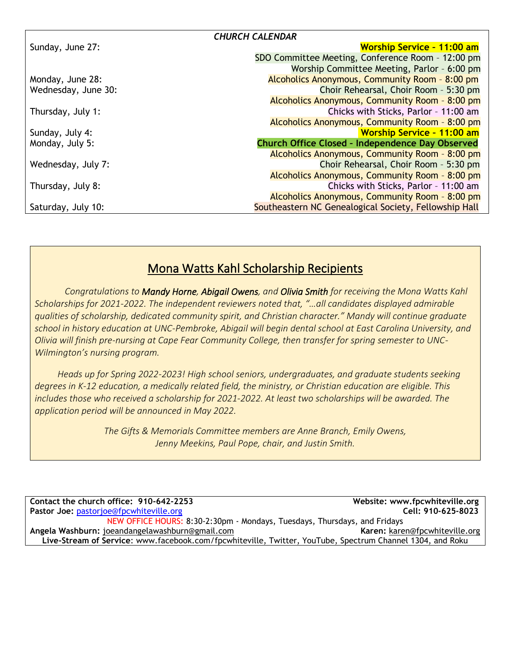| <b>CHURCH CALENDAR</b> |                                                         |  |  |
|------------------------|---------------------------------------------------------|--|--|
| Sunday, June 27:       | <b>Worship Service - 11:00 am</b>                       |  |  |
|                        | SDO Committee Meeting, Conference Room - 12:00 pm       |  |  |
|                        | Worship Committee Meeting, Parlor - 6:00 pm             |  |  |
| Monday, June 28:       | Alcoholics Anonymous, Community Room - 8:00 pm          |  |  |
| Wednesday, June 30:    | Choir Rehearsal, Choir Room - 5:30 pm                   |  |  |
|                        | Alcoholics Anonymous, Community Room - 8:00 pm          |  |  |
| Thursday, July 1:      | Chicks with Sticks, Parlor - 11:00 am                   |  |  |
|                        | Alcoholics Anonymous, Community Room - 8:00 pm          |  |  |
| Sunday, July 4:        | <b>Worship Service - 11:00 am</b>                       |  |  |
| Monday, July 5:        | <b>Church Office Closed - Independence Day Observed</b> |  |  |
|                        | Alcoholics Anonymous, Community Room - 8:00 pm          |  |  |
| Wednesday, July 7:     | Choir Rehearsal, Choir Room - 5:30 pm                   |  |  |
|                        | Alcoholics Anonymous, Community Room - 8:00 pm          |  |  |
| Thursday, July 8:      | Chicks with Sticks, Parlor - 11:00 am                   |  |  |
|                        | Alcoholics Anonymous, Community Room - 8:00 pm          |  |  |
| Saturday, July 10:     | Southeastern NC Genealogical Society, Fellowship Hall   |  |  |

# Mona Watts Kahl Scholarship Recipients

*Congratulations to Mandy Horne, Abigail Owens, and Olivia Smith for receiving the Mona Watts Kahl Scholarships for 2021-2022. The independent reviewers noted that, "…all candidates displayed admirable qualities of scholarship, dedicated community spirit, and Christian character." Mandy will continue graduate school in history education at UNC-Pembroke, Abigail will begin dental school at East Carolina University, and Olivia will finish pre-nursing at Cape Fear Community College, then transfer for spring semester to UNC-Wilmington's nursing program.*

 *Heads up for Spring 2022-2023! High school seniors, undergraduates, and graduate students seeking degrees in K-12 education, a medically related field, the ministry, or Christian education are eligible. This includes those who received a scholarship for 2021-2022. At least two scholarships will be awarded. The application period will be announced in May 2022.*

> *The Gifts & Memorials Committee members are Anne Branch, Emily Owens, Jenny Meekins, Paul Pope, chair, and Justin Smith.*

**Contact the church office: 910-642-2253 Website: www.fpcwhiteville.org Pastor Joe:** [pastorjoe@fpcwhiteville.org](mailto:pastorjoe@fpcwhiteville.org) **Cell: 910-625-8023** NEW OFFICE HOURS: 8:30-2:30pm - Mondays, Tuesdays, Thursdays, and Fridays **Angela Washburn:** joeandangelawashburn@gmail.com **Karen:** [karen@fpcwhiteville.org](mailto:karen@fpcwhiteville.org) **Live-Stream of Service**: www.facebook.com/fpcwhiteville, Twitter, YouTube, Spectrum Channel 1304, and Roku